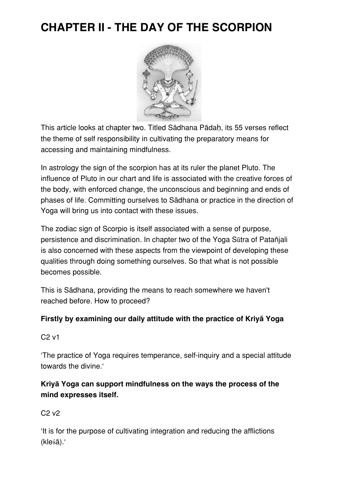# **CHAPTER II - THE DAY OF THE SCORPION**



This article looks at chapter two. Titled Sãdhana Pãdaḥ, its 55 verses reflect the theme of self responsibility in cultivating the preparatory means for accessing and maintaining mindfulness.

In astrology the sign of the scorpion has at its ruler the planet Pluto. The influence of Pluto in our chart and life is associated with the creative forces of the body, with enforced change, the unconscious and beginning and ends of phases of life. Committing ourselves to Sãdhana or practice in the direction of Yoga will bring us into contact with these issues.

The zodiac sign of Scorpio is itself associated with a sense of purpose, persistence and discrimination. In chapter two of the Yoga Sūtra of Patañjali is also concerned with these aspects from the viewpoint of developing these qualities through doing something ourselves. So that what is not possible becomes possible.

This is Sãdhana, providing the means to reach somewhere we haven't reached before. How to proceed?

#### **Firstly by examining our daily attitude with the practice of Kriyã Yoga**

C2 v1

'The practice of Yoga requires temperance, self-inquiry and a special attitude towards the divine.'

## **Kriyā Yoga can support mindfulness on the ways the process of the mind expresses itself.**

C2 v2

'It is for the purpose of cultivating integration and reducing the afflictions (kleśã).'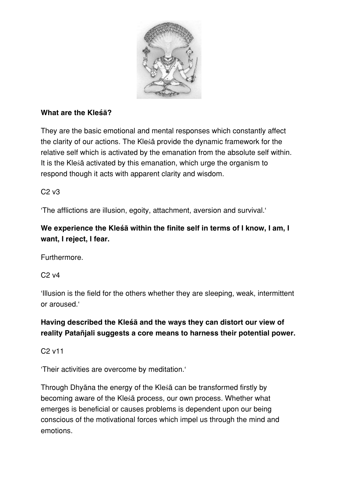

#### **What are the Kleśā?**

They are the basic emotional and mental responses which constantly affect the clarity of our actions. The Kleśã provide the dynamic framework for the relative self which is activated by the emanation from the absolute self within. It is the Kleśã activated by this emanation, which urge the organism to respond though it acts with apparent clarity and wisdom.

#### C2 v3

'The afflictions are illusion, egoity, attachment, aversion and survival.'

# **We experience the Kleśā within the finite self in terms of I know, I am, I want, I reject, I fear.**

Furthermore.

 $C<sub>2</sub>$  v4

'Illusion is the field for the others whether they are sleeping, weak, intermittent or aroused.'

## **Having described the Kleśā and the ways they can distort our view of reality Patañjali suggests a core means to harness their potential power.**

C2 v11

'Their activities are overcome by meditation.'

Through Dhyãna the energy of the Kleśã can be transformed firstly by becoming aware of the Kleśã process, our own process. Whether what emerges is beneficial or causes problems is dependent upon our being conscious of the motivational forces which impel us through the mind and emotions.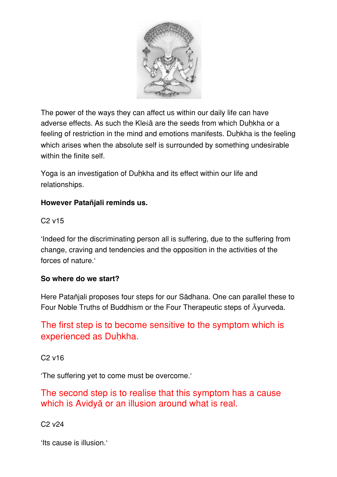

The power of the ways they can affect us within our daily life can have adverse effects. As such the Kleśã are the seeds from which Duhkha or a feeling of restriction in the mind and emotions manifests. Duhkha is the feeling which arises when the absolute self is surrounded by something undesirable within the finite self.

Yoga is an investigation of Duḥkha and its effect within our life and relationships.

#### **However Patañjali reminds us.**

#### C2 v15

'Indeed for the discriminating person all is suffering, due to the suffering from change, craving and tendencies and the opposition in the activities of the forces of nature.'

#### **So where do we start?**

Here Patañjali proposes four steps for our Sãdhana. One can parallel these to Four Noble Truths of Buddhism or the Four Therapeutic steps of Āyurveda.

# The first step is to become sensitive to the symptom which is experienced as Duḥkha.

C2 v16

'The suffering yet to come must be overcome.'

The second step is to realise that this symptom has a cause which is Avidyã or an illusion around what is real.

C2 v24

'Its cause is illusion.'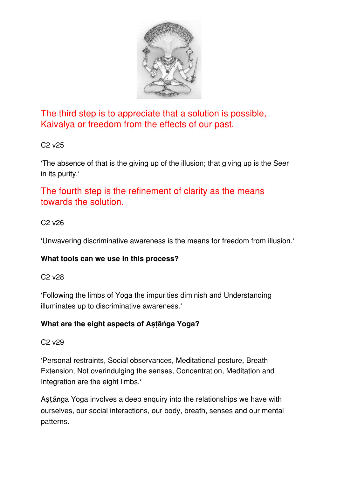

The third step is to appreciate that a solution is possible, Kaivalya or freedom from the effects of our past.

#### C2 v25

'The absence of that is the giving up of the illusion; that giving up is the Seer in its purity.'

The fourth step is the refinement of clarity as the means towards the solution.

#### C2 v26

'Unwavering discriminative awareness is the means for freedom from illusion.'

#### **What tools can we use in this process?**

#### C2 v28

'Following the limbs of Yoga the impurities diminish and Understanding illuminates up to discriminative awareness.'

#### **What are the eight aspects of Aṣṭāṅga Yoga?**

#### C2 v29

'Personal restraints, Social observances, Meditational posture, Breath Extension, Not overindulging the senses, Concentration, Meditation and Integration are the eight limbs.'

Aṣṭãṅga Yoga involves a deep enquiry into the relationships we have with ourselves, our social interactions, our body, breath, senses and our mental patterns.